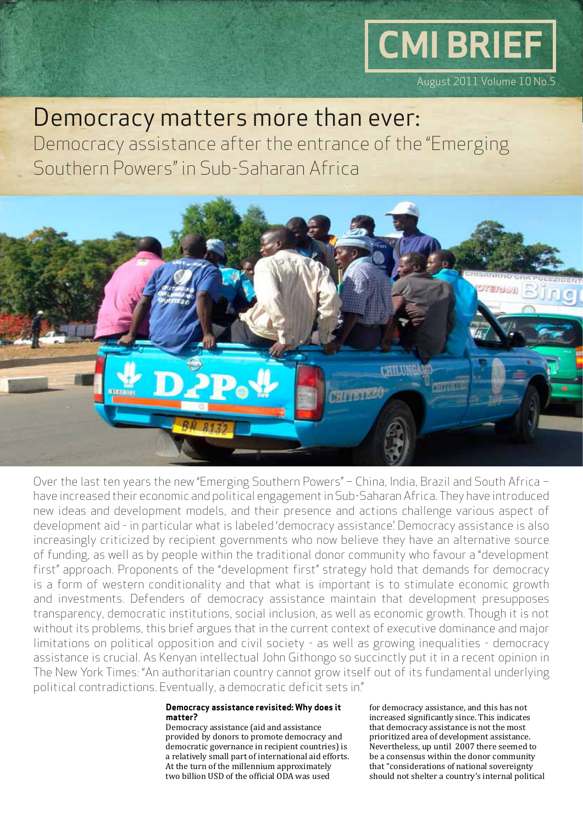# **CMI BRIEF**

August 2011 Volume 10 No.5

### Democracy matters more than ever:

Democracy assistance after the entrance of the "Emerging Southern Powers" in Sub-Saharan Africa



Over the last ten years the new "Emerging Southern Powers" – China, India, Brazil and South Africa – have increased their economic and political engagement in Sub-Saharan Africa. They have introduced new ideas and development models, and their presence and actions challenge various aspect of development aid - in particular what is labeled 'democracy assistance'. Democracy assistance is also increasingly criticized by recipient governments who now believe they have an alternative source of funding, as well as by people within the traditional donor community who favour a "development first" approach. Proponents of the "development first" strategy hold that demands for democracy is a form of western conditionality and that what is important is to stimulate economic growth and investments. Defenders of democracy assistance maintain that development presupposes transparency, democratic institutions, social inclusion, as well as economic growth. Though it is not without its problems, this brief argues that in the current context of executive dominance and major limitations on political opposition and civil society - as well as growing inequalities - democracy assistance is crucial. As Kenyan intellectual John Githongo so succinctly put it in a recent opinion in The New York Times: "An authoritarian country cannot grow itself out of its fundamental underlying political contradictions. Eventually, a democratic deficit sets in."

#### **Democracy assistance revisited: Why does it matter?**

Democracy assistance (aid and assistance provided by donors to promote democracy and democratic governance in recipient countries) is a relatively small part of international aid efforts. At the turn of the millennium approximately two billion USD of the official ODA was used

for democracy assistance, and this has not increased significantly since. This indicates that democracy assistance is not the most prioritized area of development assistance. Nevertheless, up until 2007 there seemed to be a consensus within the donor community that "considerations of national sovereignty should not shelter a country's internal political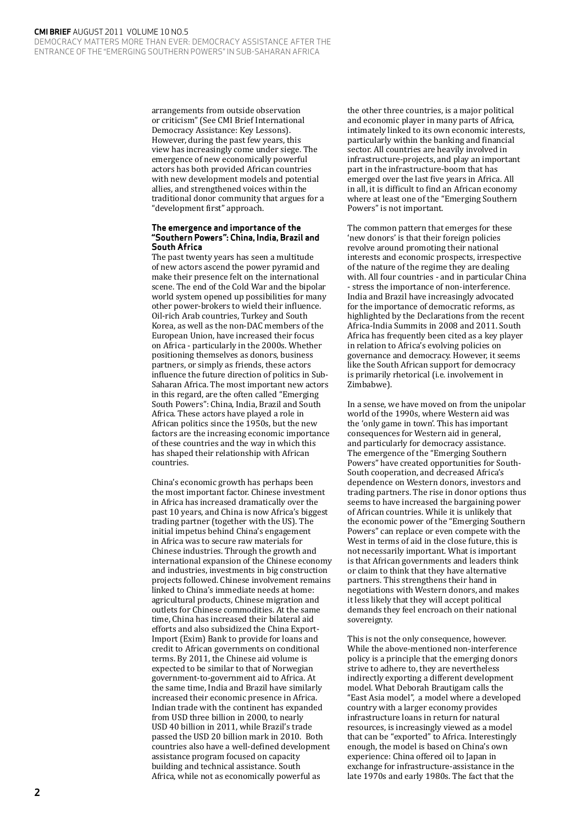arrangements from outside observation or criticism" (See CMI Brief International Democracy Assistance: Key Lessons). However, during the past few years, this view has increasingly come under siege. The emergence of new economically powerful actors has both provided African countries with new development models and potential allies, and strengthened voices within the traditional donor community that argues for a "development first" approach.

#### **The emergence and importance of the "Southern Powers": China, India, Brazil and South Africa**

The past twenty years has seen a multitude of new actors ascend the power pyramid and make their presence felt on the international scene. The end of the Cold War and the bipolar world system opened up possibilities for many other power-brokers to wield their influence. Oil-rich Arab countries, Turkey and South Korea, as well as the non-DAC members of the European Union, have increased their focus on Africa - particularly in the 2000s. Whether positioning themselves as donors, business partners, or simply as friends, these actors influence the future direction of politics in Sub-Saharan Africa. The most important new actors in this regard, are the often called "Emerging South Powers": China, India, Brazil and South Africa. These actors have played a role in African politics since the 1950s, but the new factors are the increasing economic importance of these countries and the way in which this has shaped their relationship with African countries.

China's economic growth has perhaps been the most important factor. Chinese investment in Africa has increased dramatically over the past 10 years, and China is now Africa's biggest trading partner (together with the US). The initial impetus behind China's engagement in Africa was to secure raw materials for Chinese industries. Through the growth and international expansion of the Chinese economy and industries, investments in big construction projects followed. Chinese involvement remains linked to China's immediate needs at home: agricultural products, Chinese migration and outlets for Chinese commodities. At the same time, China has increased their bilateral aid efforts and also subsidized the China Export-Import (Exim) Bank to provide for loans and credit to African governments on conditional terms. By 2011, the Chinese aid volume is expected to be similar to that of Norwegian government-to-government aid to Africa. At the same time, India and Brazil have similarly increased their economic presence in Africa. Indian trade with the continent has expanded from USD three billion in 2000, to nearly USD 40 billion in 2011, while Brazil's trade passed the USD 20 billion mark in 2010. Both countries also have a well-defined development assistance program focused on capacity building and technical assistance. South Africa, while not as economically powerful as

the other three countries, is a major political and economic player in many parts of Africa, intimately linked to its own economic interests, particularly within the banking and financial sector. All countries are heavily involved in infrastructure-projects, and play an important part in the infrastructure-boom that has emerged over the last five years in Africa. All in all, it is difficult to find an African economy where at least one of the "Emerging Southern Powers" is not important.

The common pattern that emerges for these 'new donors' is that their foreign policies revolve around promoting their national interests and economic prospects, irrespective of the nature of the regime they are dealing with. All four countries - and in particular China - stress the importance of non-interference. India and Brazil have increasingly advocated for the importance of democratic reforms, as highlighted by the Declarations from the recent Africa-India Summits in 2008 and 2011. South Africa has frequently been cited as a key player in relation to Africa's evolving policies on governance and democracy. However, it seems like the South African support for democracy is primarily rhetorical (i.e. involvement in Zimbabwe).

In a sense, we have moved on from the unipolar world of the 1990s, where Western aid was the 'only game in town'. This has important consequences for Western aid in general, and particularly for democracy assistance. The emergence of the "Emerging Southern Powers" have created opportunities for South-South cooperation, and decreased Africa's dependence on Western donors, investors and trading partners. The rise in donor options thus seems to have increased the bargaining power of African countries. While it is unlikely that the economic power of the "Emerging Southern Powers" can replace or even compete with the West in terms of aid in the close future, this is not necessarily important. What is important is that African governments and leaders think or claim to think that they have alternative partners. This strengthens their hand in negotiations with Western donors, and makes it less likely that they will accept political demands they feel encroach on their national sovereignty.

This is not the only consequence, however. While the above-mentioned non-interference policy is a principle that the emerging donors strive to adhere to, they are nevertheless indirectly exporting a different development model. What Deborah Brautigam calls the "East Asia model", a model where a developed country with a larger economy provides infrastructure loans in return for natural resources, is increasingly viewed as a model that can be "exported" to Africa. Interestingly enough, the model is based on China's own experience: China offered oil to Japan in exchange for infrastructure-assistance in the late 1970s and early 1980s. The fact that the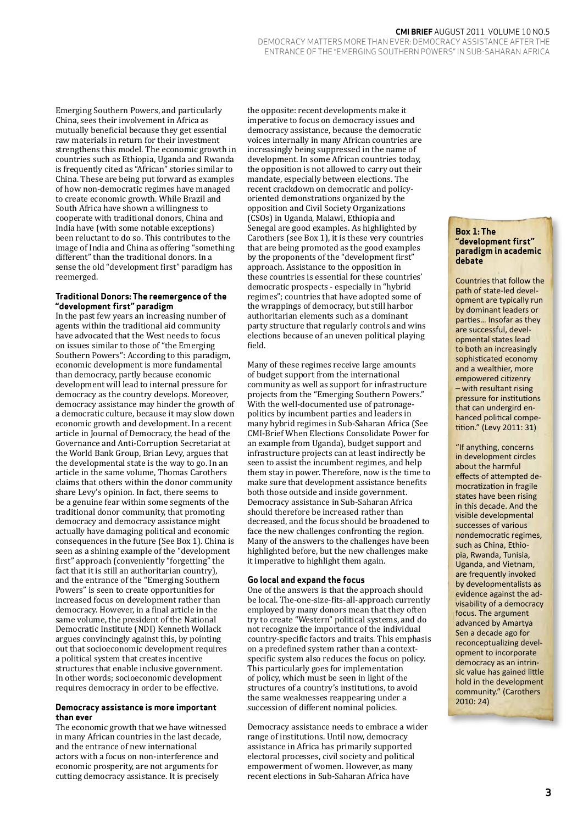#### **CMI Brief** AUGUST 2011 Volume 10 No.5

Democracy matters more than ever: Democracy assistance after the entrance of the "Emerging Southern Powers" in Sub-Saharan Africa

Emerging Southern Powers, and particularly China, sees their involvement in Africa as mutually beneficial because they get essential raw materials in return for their investment strengthens this model. The economic growth in countries such as Ethiopia, Uganda and Rwanda is frequently cited as "African" stories similar to China. These are being put forward as examples of how non-democratic regimes have managed to create economic growth. While Brazil and South Africa have shown a willingness to cooperate with traditional donors, China and India have (with some notable exceptions) been reluctant to do so. This contributes to the image of India and China as offering "something different" than the traditional donors. In a sense the old "development first" paradigm has reemerged.

#### **Traditional Donors: The reemergence of the "development first" paradigm**

In the past few years an increasing number of agents within the traditional aid community have advocated that the West needs to focus on issues similar to those of "the Emerging Southern Powers": According to this paradigm, economic development is more fundamental than democracy, partly because economic development will lead to internal pressure for democracy as the country develops. Moreover, democracy assistance may hinder the growth of a democratic culture, because it may slow down economic growth and development. In a recent article in Journal of Democracy, the head of the Governance and Anti-Corruption Secretariat at the World Bank Group, Brian Levy, argues that the developmental state is the way to go. In an article in the same volume, Thomas Carothers claims that others within the donor community share Levy's opinion. In fact, there seems to be a genuine fear within some segments of the traditional donor community, that promoting democracy and democracy assistance might actually have damaging political and economic consequences in the future (See Box 1). China is seen as a shining example of the "development first" approach (conveniently "forgetting" the fact that it is still an authoritarian country), and the entrance of the "Emerging Southern Powers" is seen to create opportunities for increased focus on development rather than democracy. However, in a final article in the same volume, the president of the National Democratic Institute (NDI) Kenneth Wollack argues convincingly against this, by pointing out that socioeconomic development requires a political system that creates incentive structures that enable inclusive government. In other words; socioeconomic development requires democracy in order to be effective.

#### **Democracy assistance is more important than ever**

The economic growth that we have witnessed in many African countries in the last decade, and the entrance of new international actors with a focus on non-interference and economic prosperity, are not arguments for cutting democracy assistance. It is precisely

the opposite: recent developments make it imperative to focus on democracy issues and democracy assistance, because the democratic voices internally in many African countries are increasingly being suppressed in the name of development. In some African countries today, the opposition is not allowed to carry out their mandate, especially between elections. The recent crackdown on democratic and policyoriented demonstrations organized by the opposition and Civil Society Organizations (CSOs) in Uganda, Malawi, Ethiopia and Senegal are good examples. As highlighted by Carothers (see Box 1), it is these very countries that are being promoted as the good examples by the proponents of the "development first" approach. Assistance to the opposition in these countries is essential for these countries' democratic prospects - especially in "hybrid regimes"; countries that have adopted some of the wrappings of democracy, but still harbor authoritarian elements such as a dominant party structure that regularly controls and wins elections because of an uneven political playing field.

Many of these regimes receive large amounts of budget support from the international community as well as support for infrastructure projects from the "Emerging Southern Powers." With the well-documented use of patronagepolitics by incumbent parties and leaders in many hybrid regimes in Sub-Saharan Africa (See CMI-Brief When Elections Consolidate Power for an example from Uganda), budget support and infrastructure projects can at least indirectly be seen to assist the incumbent regimes, and help them stay in power. Therefore, now is the time to make sure that development assistance benefits both those outside and inside government. Democracy assistance in Sub-Saharan Africa should therefore be increased rather than decreased, and the focus should be broadened to face the new challenges confronting the region. Many of the answers to the challenges have been highlighted before, but the new challenges make it imperative to highlight them again.

#### **Go local and expand the focus**

One of the answers is that the approach should be local. The-one-size-fits-all-approach currently employed by many donors mean that they often try to create "Western" political systems, and do not recognize the importance of the individual country-specific factors and traits. This emphasis on a predefined system rather than a contextspecific system also reduces the focus on policy. This particularly goes for implementation of policy, which must be seen in light of the structures of a country's institutions, to avoid the same weaknesses reappearing under a succession of different nominal policies.

Democracy assistance needs to embrace a wider range of institutions. Until now, democracy assistance in Africa has primarily supported electoral processes, civil society and political empowerment of women. However, as many recent elections in Sub-Saharan Africa have

#### **Box 1: The "development first" paradigm in academic debate**

Countries that follow the path of state-led development are typically run by dominant leaders or parties… Insofar as they are successful, developmental states lead to both an increasingly sophisticated economy and a wealthier, more empowered citizenry – with resultant rising pressure for institutions that can undergird enhanced political competition." (Levy 2011: 31)

"If anything, concerns in development circles about the harmful effects of attempted democratization in fragile states have been rising in this decade. And the visible developmental successes of various nondemocratic regimes, such as China, Ethiopia, Rwanda, Tunisia, Uganda, and Vietnam, are frequently invoked by developmentalists as evidence against the advisability of a democracy focus. The argument advanced by Amartya Sen a decade ago for reconceptualizing development to incorporate democracy as an intrinsic value has gained little hold in the development community." (Carothers 2010: 24)